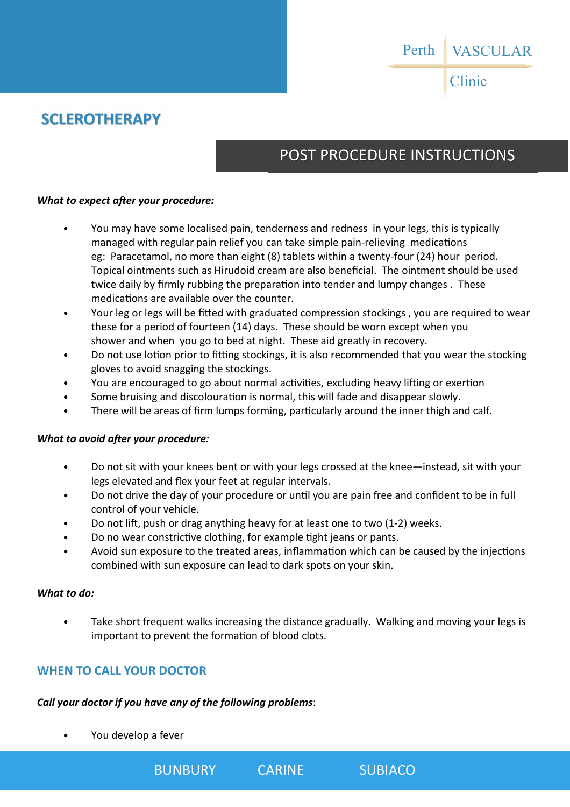Clinic

## **SCLEROTHERAPY**

# POST PROCEDURE INSTRUCTIONS

### *What to expect after your procedure:*

- You may have some localised pain, tenderness and redness in your legs, this is typically managed with regular pain relief you can take simple pain-relieving medications eg: Paracetamol, no more than eight (8) tablets within a twenty-four (24) hour period. Topical ointments such as Hirudoid cream are also beneficial. The ointment should be used twice daily by firmly rubbing the preparation into tender and lumpy changes. These medications are available over the counter.
- Your leg or legs will be fitted with graduated compression stockings , you are required to wear these for a period of fourteen (14) days. These should be worn except when you shower and when you go to bed at night. These aid greatly in recovery.
- Do not use lotion prior to fitting stockings, it is also recommended that you wear the stocking gloves to avoid snagging the stockings.
- You are encouraged to go about normal activities, excluding heavy lifting or exertion
- Some bruising and discolouration is normal, this will fade and disappear slowly.
- There will be areas of firm lumps forming, particularly around the inner thigh and calf.

### *What to avoid after your procedure:*

- Do not sit with your knees bent or with your legs crossed at the knee—instead, sit with your legs elevated and flex your feet at regular intervals.
- Do not drive the day of your procedure or until you are pain free and confident to be in full control of your vehicle.
- Do not lift, push or drag anything heavy for at least one to two (1-2) weeks.
- Do no wear constrictive clothing, for example tight jeans or pants.
- Avoid sun exposure to the treated areas, inflammation which can be caused by the injections combined with sun exposure can lead to dark spots on your skin.

#### *What to do:*

• Take short frequent walks increasing the distance gradually. Walking and moving your legs is important to prevent the formation of blood clots.

### **WHEN TO CALL YOUR DOCTOR**

### *Call your doctor if you have any of the following problems*:

• You develop a fever